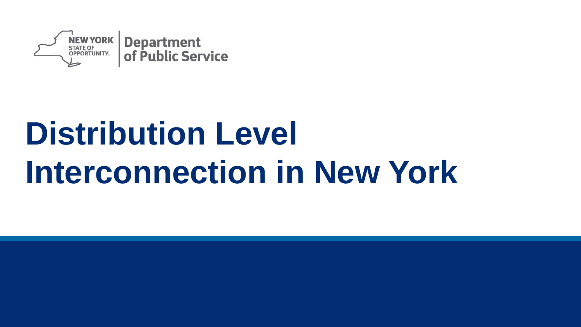

# **Distribution Level Interconnection in New York**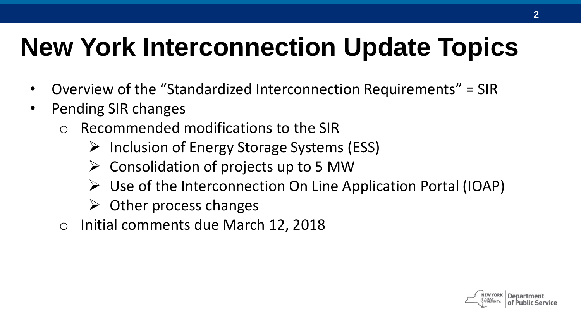## **New York Interconnection Update Topics**

- Overview of the "Standardized Interconnection Requirements" = SIR
- Pending SIR changes
	- o Recommended modifications to the SIR
		- $\triangleright$  Inclusion of Energy Storage Systems (ESS)
		- $\triangleright$  Consolidation of projects up to 5 MW
		- $\triangleright$  Use of the Interconnection On Line Application Portal (IOAP)
		- $\triangleright$  Other process changes
	- o Initial comments due March 12, 2018

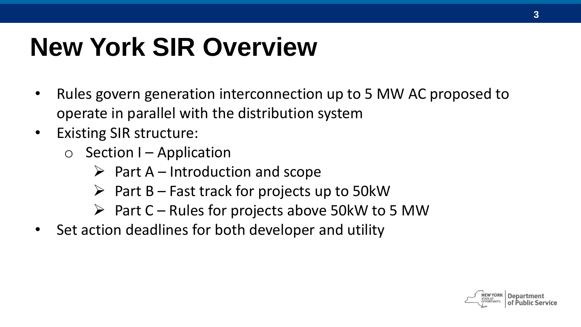## **New York SIR Overview**

- Rules govern generation interconnection up to 5 MW AC proposed to operate in parallel with the distribution system
- Existing SIR structure:
	- $\circ$  Section I Application
		- $\triangleright$  Part A Introduction and scope
		- $\triangleright$  Part B Fast track for projects up to 50kW
		- $\triangleright$  Part C Rules for projects above 50kW to 5 MW
- Set action deadlines for both developer and utility

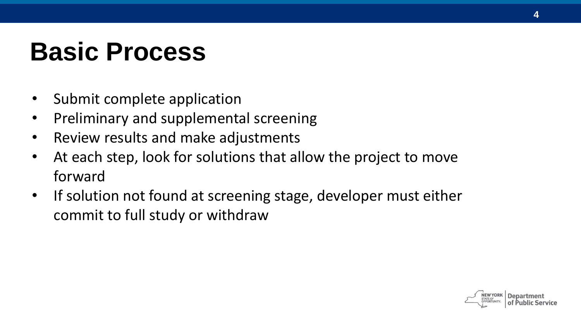#### **Basic Process**

- Submit complete application
- Preliminary and supplemental screening
- Review results and make adjustments
- At each step, look for solutions that allow the project to move forward
- If solution not found at screening stage, developer must either commit to full study or withdraw

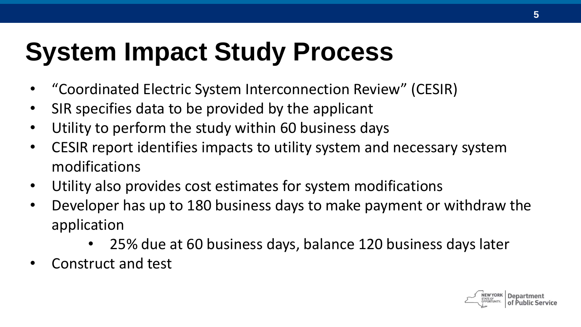#### **System Impact Study Process**

- "Coordinated Electric System Interconnection Review" (CESIR)
- SIR specifies data to be provided by the applicant
- Utility to perform the study within 60 business days
- CESIR report identifies impacts to utility system and necessary system modifications
- Utility also provides cost estimates for system modifications
- Developer has up to 180 business days to make payment or withdraw the application
	- 25% due at 60 business days, balance 120 business days later
- Construct and test

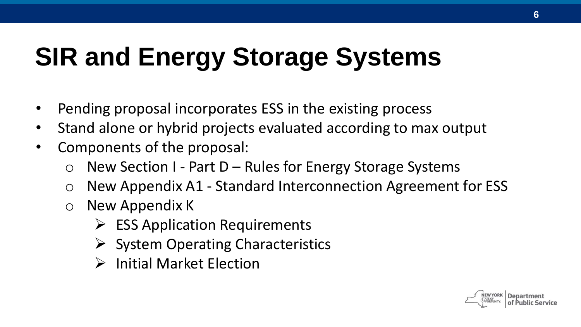## **SIR and Energy Storage Systems**

- Pending proposal incorporates ESS in the existing process
- Stand alone or hybrid projects evaluated according to max output
- Components of the proposal:
	- $\circ$  New Section I Part D Rules for Energy Storage Systems
	- o New Appendix A1 Standard Interconnection Agreement for ESS
	- o New Appendix K
		- $\triangleright$  ESS Application Requirements
		- $\triangleright$  System Operating Characteristics
		- $\triangleright$  Initial Market Flection

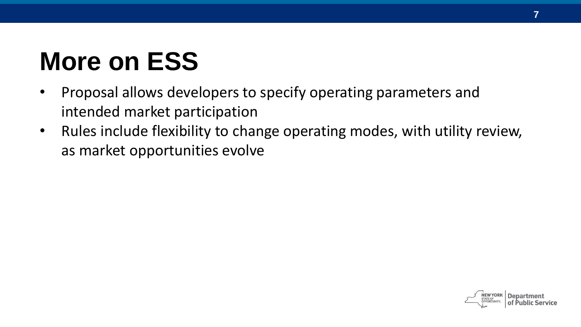## **More on ESS**

- Proposal allows developers to specify operating parameters and intended market participation
- Rules include flexibility to change operating modes, with utility review, as market opportunities evolve

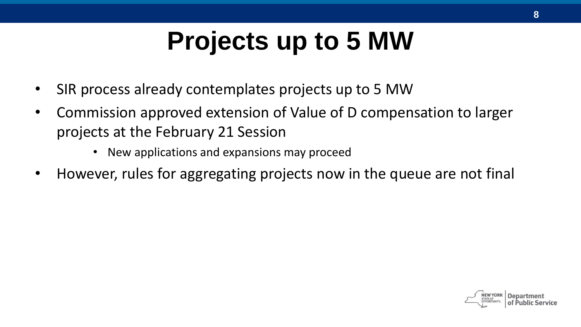## **Projects up to 5 MW**

- SIR process already contemplates projects up to 5 MW
- Commission approved extension of Value of D compensation to larger projects at the February 21 Session
	- New applications and expansions may proceed
- However, rules for aggregating projects now in the queue are not final

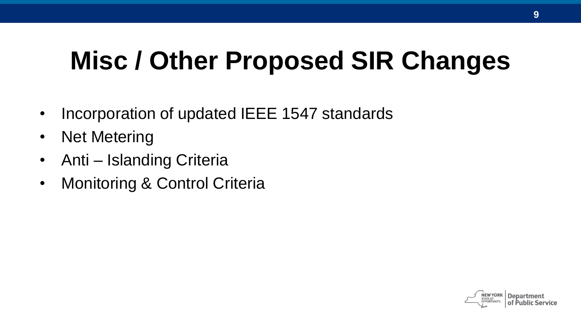#### **Misc / Other Proposed SIR Changes**

- Incorporation of updated IEEE 1547 standards
- Net Metering
- Anti Islanding Criteria
- Monitoring & Control Criteria

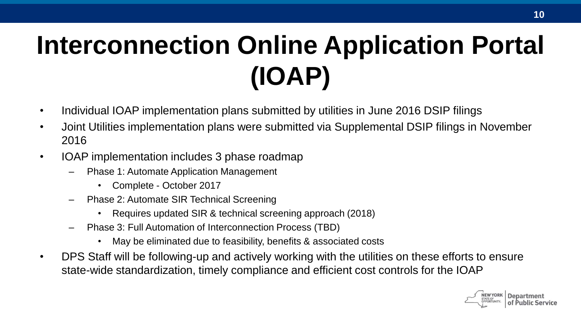## **Interconnection Online Application Portal (IOAP)**

- Individual IOAP implementation plans submitted by utilities in June 2016 DSIP filings
- Joint Utilities implementation plans were submitted via Supplemental DSIP filings in November 2016
- IOAP implementation includes 3 phase roadmap
	- Phase 1: Automate Application Management
		- Complete October 2017
	- Phase 2: Automate SIR Technical Screening
		- Requires updated SIR & technical screening approach (2018)
	- Phase 3: Full Automation of Interconnection Process (TBD)
		- May be eliminated due to feasibility, benefits & associated costs
- DPS Staff will be following-up and actively working with the utilities on these efforts to ensure state-wide standardization, timely compliance and efficient cost controls for the IOAP

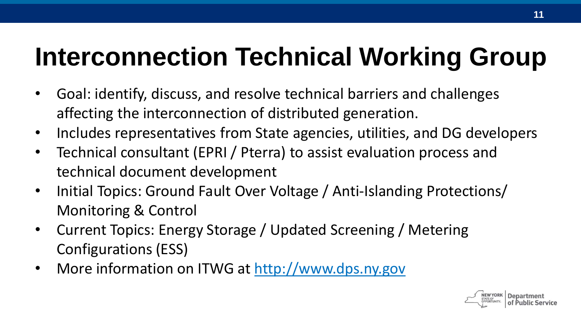## **Interconnection Technical Working Group**

- Goal: identify, discuss, and resolve technical barriers and challenges affecting the interconnection of distributed generation.
- Includes representatives from State agencies, utilities, and DG developers
- Technical consultant (EPRI / Pterra) to assist evaluation process and technical document development
- Initial Topics: Ground Fault Over Voltage / Anti-Islanding Protections/ Monitoring & Control
- Current Topics: Energy Storage / Updated Screening / Metering Configurations (ESS)
- More information on ITWG at http://www.dps.ny.gov

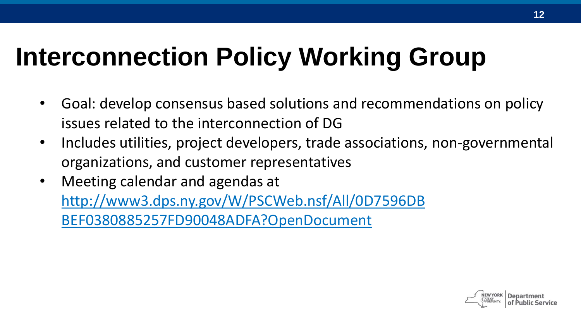## **Interconnection Policy Working Group**

- Goal: develop consensus based solutions and recommendations on policy issues related to the interconnection of DG
- Includes utilities, project developers, trade associations, non-governmental organizations, and customer representatives
- Meeting calendar and agendas at http://www3.dps.ny.gov/W/PSCWeb.nsf/All/0D7596DB BEF0380885257FD90048ADFA?OpenDocument

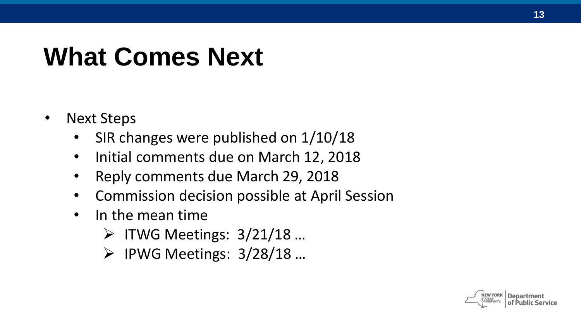#### **What Comes Next**

- Next Steps
	- SIR changes were published on 1/10/18
	- Initial comments due on March 12, 2018
	- Reply comments due March 29, 2018
	- Commission decision possible at April Session
	- In the mean time
		- $\triangleright$  ITWG Meetings: 3/21/18 ...
		- $\triangleright$  IPWG Meetings: 3/28/18 ...